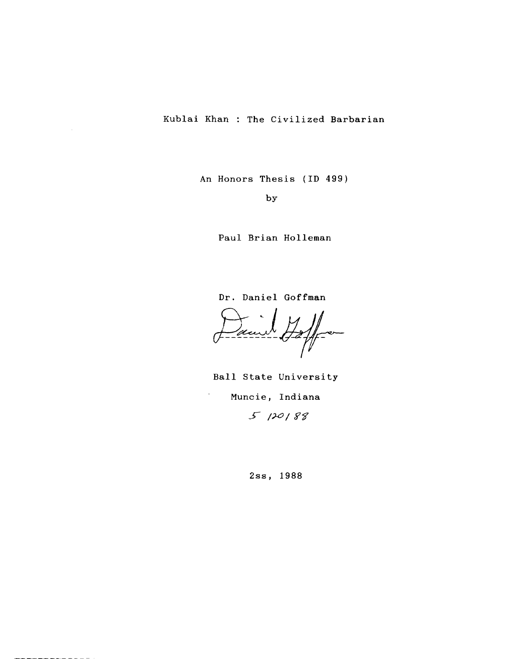An Honors Thesis (ID 499)

by

Paul Brian Holleman

Dr. Daniel Goffman

 $\rightarrow$ aurt  $\rightarrow$ 

Ball State University Muncie, Indiana  $5120188$ 

 $\overline{\phantom{a}}$ 

2ss, 1988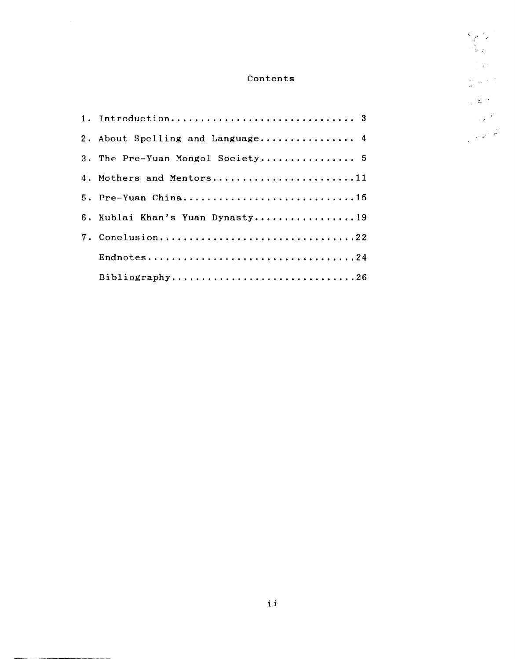# Contents

 $\frac{\zeta_{\rho} \cdot \zeta}{\zeta_{\rho} \zeta}$ 

 $\frac{1}{2} \left( \frac{1}{4} \right)^2$ 

 $\frac{\partial^2}{\partial t^2} \frac{d\omega}{d\omega} = \frac{N}{\omega} \frac{d\omega}{d\omega}$ 

 $\sqrt{2\pi}$ 

 $\frac{1}{\sqrt{2}}\sum_{\mathbf{k},\mathbf{k}}\mathbf{k}^{\mathbf{k}}$ 

| 2. About Spelling and Language 4 |
|----------------------------------|
| 3. The Pre-Yuan Mongol Society 5 |
| 4. Mothers and Mentors11         |
| 5. Pre-Yuan China15              |
| 6. Kublai Khan's Yuan Dynasty19  |
| 7. Conclusion22                  |
|                                  |
| Bibliography26                   |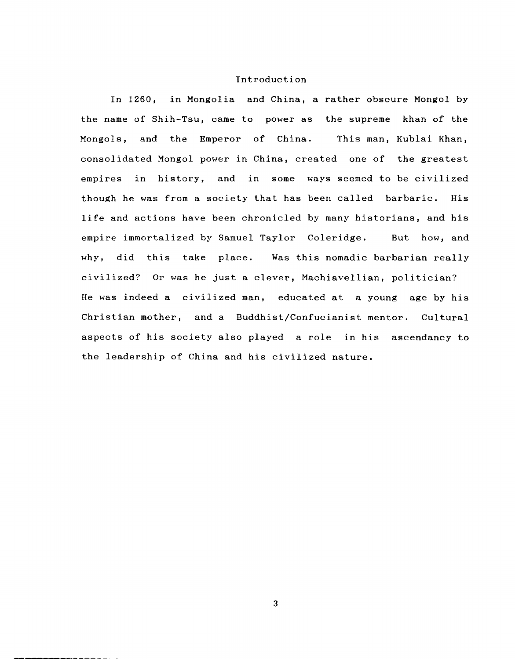### Introduction

In 1260, in Mongolia and China, a rather obscure Mongol by the name of Shih-Tsu, came to power as the supreme khan of the Mongols, and the Emperor of China. This man, Kublai Khan, consolidated Mongol power in China, created one of the greatest empires in history, and in some ways seemed to be civilized though he was from a society that has been called barbaric. His life and actions have been chronicled by many historians, and his empire immortalized by Samuel Taylor Coleridge. But how, and why, did this take place. Was this nomadic barbarian really civilized? Or was he just a clever, Machiavellian, politician? He was indeed a civilized man, educated at a young age by his Christian mother, and a Buddhist/Confucianist mentor. Cultural aspects of his society also played a role in his ascendancy to the leadership of China and his civilized nature.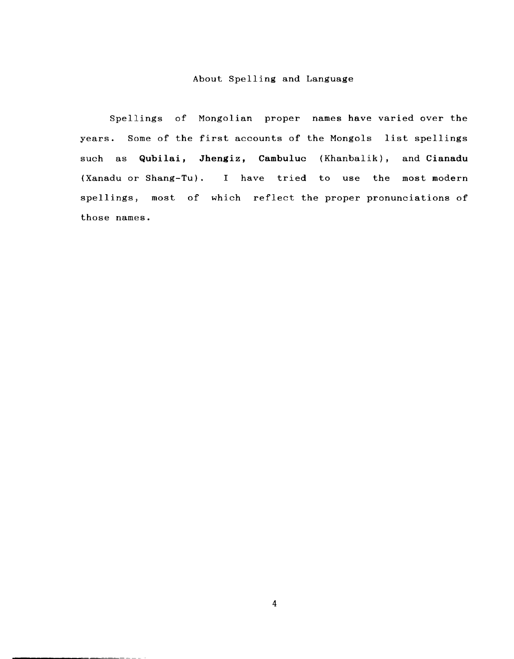## About Spelling and Language

Spellings of Mongolian proper names have varied over the years. Some of the first accounts of the Mongols list spellings such as **Qubilai, Jhengiz, Cambuluc** (Khanbalik), and Cianadu (Xanadu or Shang-Tu). I have tried to use the most modern spellings, most of which reflect the proper pronunciations of those names.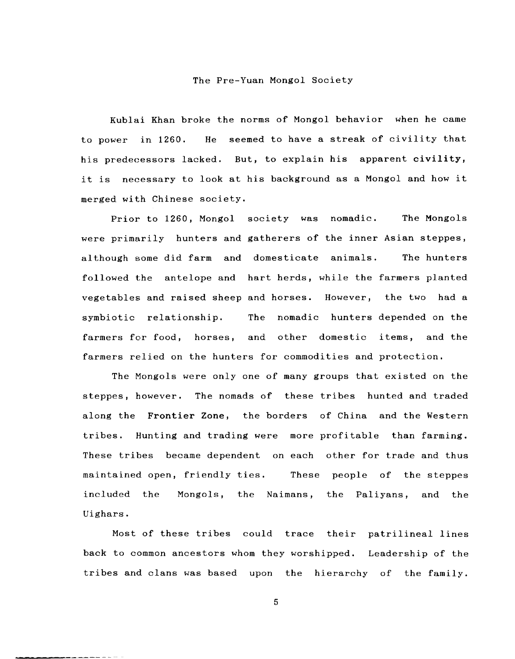#### The Pre-Yuan Mongol Society

Kublai Khan broke the norms of Mongol behavior when he came to power in 1260. He seemed to have a streak of civility that his predecessors lacked. But, to explain his apparent civility, it is necessary to look at his background as a Mongol and how it merged with Chinese society.

Prior to 1260, Mongol society was nomadic. The Mongols were primarily hunters and gatherers of the inner Asian steppes, although some did farm and domesticate animals. The hunters followed the antelope and hart herds, while the farmers planted vegetables and raised sheep and horses. However, the two had a symbiotic relationship. The nomadic hunters depended on the farmers for food, horses, and other domestic items, and the farmers relied on the hunters for commodities and protection.

The Mongols were only one of many groups that existed on the steppes, however. The nomads of these tribes hunted and traded along the Frontier Zone, the borders of China and the Western tribes. Hunting and trading were more profitable than farming. These tribes became dependent on each other for trade and thus maintained open, friendly ties. These people of the steppes included the Uighars. Mongols, the Naimans, the Paliyans, and the

Most of these tribes could trace their patrilineal lines back to common ancestors whom they worshipped. Leadership of the tribes and clans was based upon the hierarchy of the family.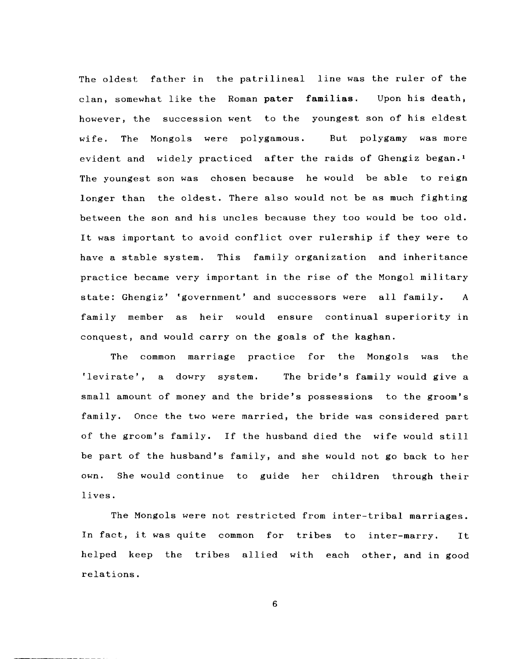The oldest father in the patrilineal line was the ruler of the clan, somewhat like the Roman pater familias. Upon his death, however, the succession went to the youngest son of his eldest wife. The Mongols were polygamous. But polygamy was more evident and widely practiced after the raids of Ghengiz began.! The youngest son was chosen because he would be able to reign longer than the oldest. There also would not be as much fighting between the son and his uncles because they too would be too old. It was important to avoid conflict over rulership if they were to have a stable system. This family organization and inheritance practice became very important in the rise of the Mongol military state: Ghengiz' 'government' and successors were all family. A family member as heir would ensure continual superiority in conquest, and would carryon the goals of the kaghan.

The common marriage practice for the Mongols was the 'levirate', a dowry system. The bride's family would give a small amount of money and the bride's possessions to the groom's family. Once the two were married, the bride was considered part of the groom's family. If the husband died the wife would still be part of the husband's family, and she would not go back to her own. She would continue to guide her children through their lives.

The Mongols were not restricted from inter-tribal marriages. In fact, it was quite common for tribes to inter-marry. It helped keep the tribes allied with each other, and in good relations.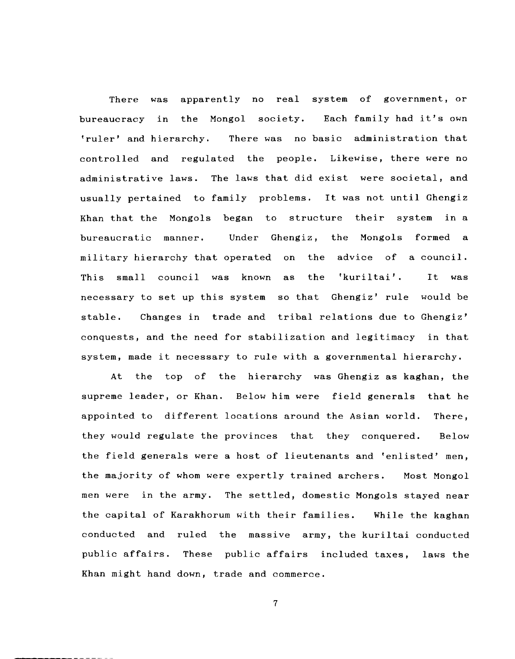There was apparently no real system of government, or bureaucracy in the Mongol society. Each family had it's own 'ruler' and hierarchy. There was no basic administration that controlled and regulated the people. Likewise, there were no administrative laws. The laws that did exist were societal, and usually pertained to family problems. It was not until Ghengiz Khan that the Mongols began to structure their system in a bureaucratic manner. Under Ghengiz, the Mongols formed a military hierarchy that operated on the advice of a council. This small council was known as the 'kuriltai'. It was necessary to set up this system so that Ghengiz' rule would be stable. Changes in trade and tribal relations due to Ghengiz' conquests, and the need for stabilization and legitimacy in that system, made it necessary to rule with a governmental hierarchy.

At the top of the hierarchy was Ghengiz as kaghan, the supreme leader, or Khan. Below him were field generals that he appointed to different locations around the Asian world. they would regulate the provinces that they conquered. There, Below the field generals were a host of lieutenants and 'enlisted' men, the majority of whom were expertly trained archers. Most Mongol men were in the army. The settled, domestic Mongols stayed near the capital of Karakhorum with their families. While the kaghan conducted and ruled the massive army, the kuriltai conducted public affairs. These public affairs included taxes, laws the Khan might hand down, trade and commerce.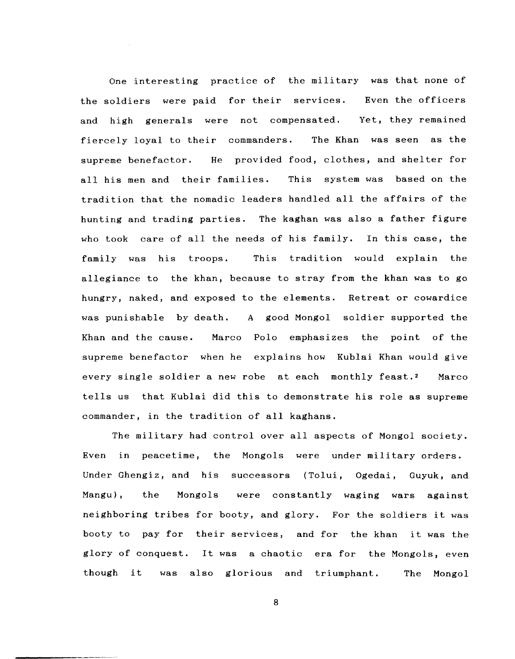One interesting practice of the military was that none of the soldiers were paid for their services. Even the officers and high generals were not compensated. Yet, they remained fiercely loyal to their commanders. The Khan was seen as the supreme benefactor. He provided food, clothes, and shelter for all his men and their families. This system was based on the tradition that the nomadic leaders handled all the affairs of the hunting and trading parties. The kaghan was also a father figure who took care of all the needs of his family. In this case, the family was his troops. This tradition would explain the allegiance to the khan, because to stray from the khan was to go hungry, naked, and exposed to the elements. Retreat or cowardice was punishable by death. A good Mongol soldier supported the Khan and the cause. Marco Polo emphasizes the point of the supreme benefactor when he explains how Kublai Khan would give every single soldier a new robe at each monthly feast.2 Marco tells us that Kublai did this to demonstrate his role as supreme commander, in the tradition of all kaghans.

The military had control over all aspects of Mongol society. Even in peacetime, the Mongols were under military orders. Under Ghengiz, and his successors (Tolui, Ogedai, Guyuk, and Mangu), the Mongols were constantly waging wars against neighboring tribes for booty, and glory. For the soldiers it was booty to pay for their services, and for the khan it was the glory of conquest. It was a chaotic era for the Mongols, even though it was also glorious and triumphant. The Mongol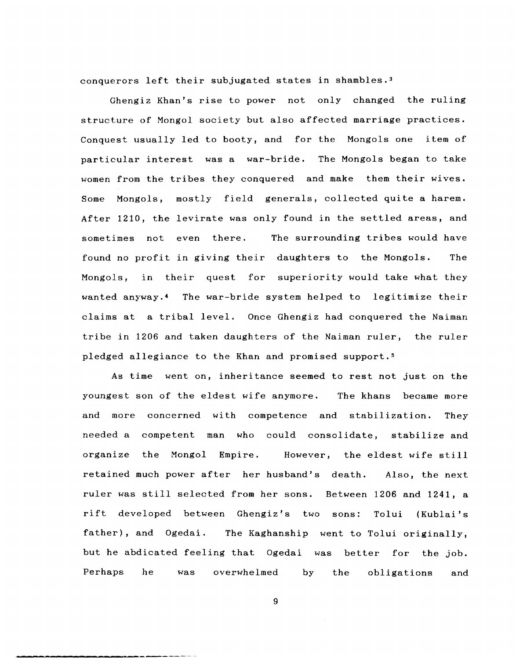conquerors left their subjugated states in shambles. <sup>3</sup>

Ghengiz Khan's rise to power not only changed the ruling structure of Mongol society but also affected marriage practices. Conquest usually led to booty, and for the Mongols one item of particular interest was a war-bride. The Mongols began to take women from the tribes they conquered and make them their wives. Some Mongols, mostly field generals, collected quite a harem. After 1210, the levirate was only found in the settled areas, and sometimes not even there. found no profit in giving their daughters to the Mongols. The Mongols, in their quest for superiority would take what they The surrounding tribes would have wanted anyway.4 The war-bride system helped to legitimize their claims at a tribal level. Once Ghengiz had conquered the Naiman tribe in 1206 and taken daughters of the Naiman ruler, the ruler pledged allegiance to the Khan and promised support.<sup>5</sup>

As time went on, inheritance seemed to rest not just on the youngest son of the eldest wife anymore. The khans became more and more concerned with competence and stabilization. They needed a competent man who could consolidate, stabilize and organize the Mongol Empire. However, the eldest wife still retained much power after her husband's death. Also, the next ruler was still selected from her sons. Between 1206 and 1241, a rift developed between Ghengiz's two sons: Tolui (Kublai's father), and Ogedai. The Kaghanship went to Tolui originally, but he abdicated feeling that Ogedai was better for the job. Perhaps he was overwhelmed by the obligations and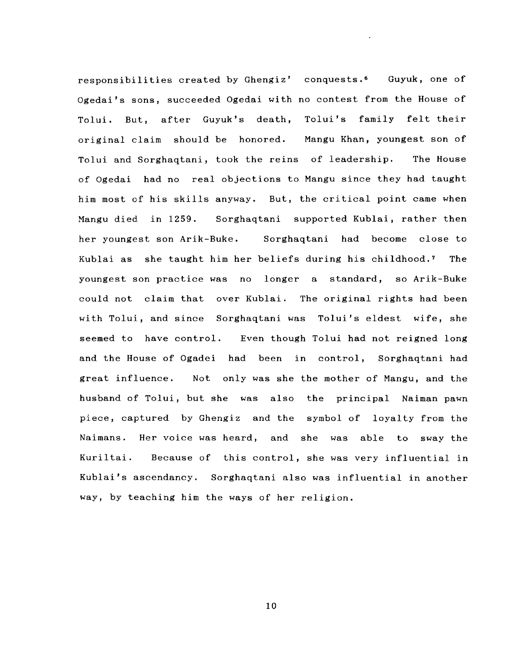responsibilities created by Ghengiz' conquests.<sup>6</sup> Guyuk, one of Ogedai's sons, succeeded Ogedai with no contest from the House of Tolui. But, after Guyuk's death, Tolui's family felt their original claim should be honored. Mangu Khan, youngest son of Tolui and Sorghaqtani, took the reins of leadership. The House of Ogedai had no real objections to Mangu since they had taught him most of his skills anyway. But, the critical point came when Mangu died in 1259. Sorghaqtani supported Kublai, rather then her youngest son Arik-Buke. Sorghaqtani had become close to Kublai as she taught him her beliefs during his childhood. 7 The youngest son practice was no longer a standard, so Arik-Buke could not claim that over Kublai. The original rights had been with Tolui, and since Sorghaqtani was Tolui's eldest wife, she seemed to have control. Even though Tolui had not reigned long and the House of Ogadei had been in control, Sorghaqtani had great influence. Not only was she the mother of Mangu, and the husband of Tolui, but she was also the principal Naiman pawn piece, captured by Ghengiz and the symbol of loyalty from the Naimans. Her voice was heard, and she was able to sway the Kuriltai. Because of this control, she was very influential in Kublai's ascendancy. Sorghaqtani also was influential in another way, by teaching him the ways of her religion.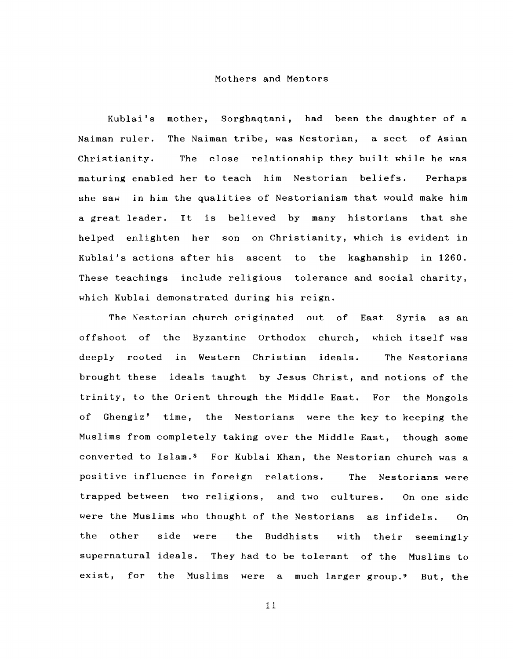### Mothers and Mentors

Kublai's mother, Sorghaqtani, had been the daughter of a Naiman ruler. The Naiman tribe, was Nestorian, a sect of Asian Christianity. maturing enabled her to teach him Nestorian beliefs. Perhaps The close relationship they built while he was she saw in him the qualities of Nestorianism that would make him a great leader. It is believed by many historians that she helped enlighten her son on Christianity, which is evident in Kublai's actions after his ascent to the kaghanship in 1260. These teachings include religious tolerance and social charity, which Kublai demonstrated during his reign.

The Kestorian church originated out of East Syria as an offshoot of the Byzantine Orthodox church, which itself was deeply rooted in Western Christian ideals. The Nestorians brought these ideals taught by Jesus Christ, and notions of the trinity, to the Orient through the Middle East. For the Mongols of Ghengiz' time, the Nestorians were the key to keeping the Muslims from completely taking over the Middle East, though some converted to Islam.<sup>8</sup> For Kublai Khan, the Nestorian church was a positive influence in foreign relations. The Nestorians were trapped between two religions, and two cultures. On one side were the Muslims who thought of the Nestorians as infidels. On the side were the Buddhists with their  $seemingly$ supernatural ideals. They had to be tolerant of the Muslims to exist, for the Muslims were a much larger group.9 But, the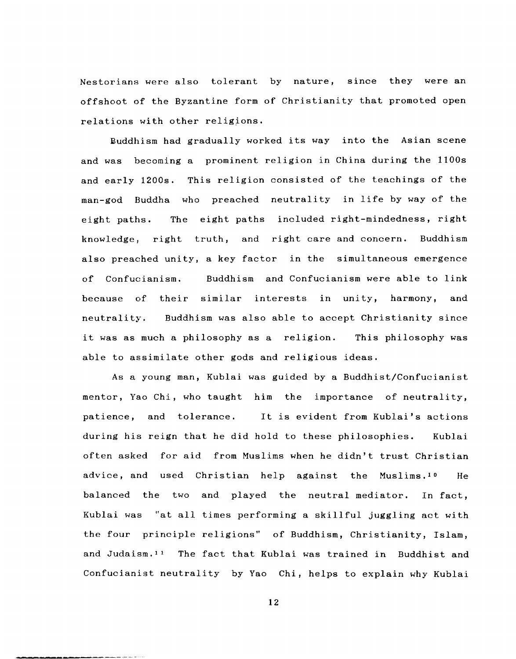Nestorians were also tolerant by nature, since they were an offshoot of the Byzantine form of Christianity that promoted open relations with other religions.

Buddhism had gradually worked its way into the Asian scene and was becoming a prominent religion in China during the 1100s and early 1200s. This religion consisted of the teachings of the man-god Buddha who preached neutrality in life by way of the eight paths. knowledge, right truth, and right-care-and-concern. Buddhism The eight paths included right-mindedness, right also preached unity, a key factor in the simultaneous emergence of Confucianism. Buddhism and Confucianism were able to link because of their similar interests in unity, harmony, and neutrality. Buddhism was also able to accept Christianity since it was as much a philosophy as a religion. This philosophy was able to assimilate other gods and religious ideas.

As a young man, Kublai was guided by a Buddhist/Confucianist mentor, Yao Chi, who taught him the importance of neutrality, patience, and tolerance. It is evident from Kublai's actions during his reign that he did hold to these philosophies. Kublai often asked for aid from Muslims when he didn't trust Christian advice, and used Christian help against the Muslims.<sup>10</sup> He balanced the two and played the neutral mediator. In fact, Kublai was "at all times performing a skillful juggling act with the four principle religions" of Buddhism, Christianity, Islam, and Judaism.<sup>11</sup> The fact that Kublai was trained in Buddhist and Confucianist neutrality by Yao Chi, helps to explain why Kublai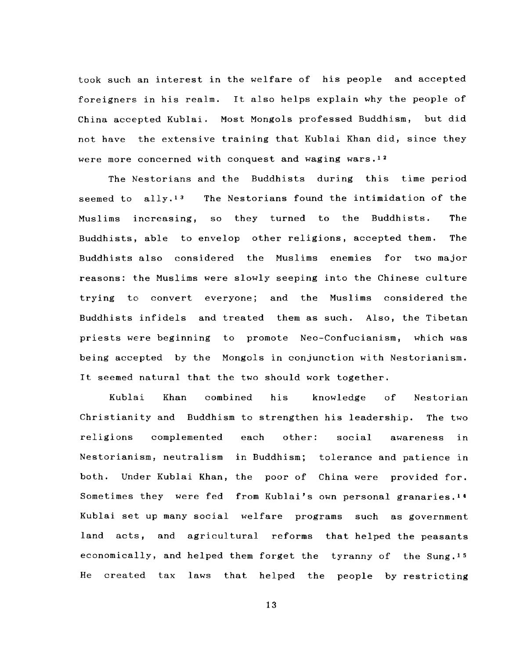took such an interest in the welfare of his people and accepted foreigners in his realm. It also helps explain why the people of China accepted Kublai. Most Mongols professed Buddhism, but did not have the extensive training that Kublai Khan did, since they were more concerned with conquest and waging wars.12

The Nestorians and the Buddhists during this time period seemed to ally.13 Muslims increasing, The Nestorians found the intimidation of the so they turned to the Buddhists. The Buddhists, able to envelop other religions, accepted them. The Buddhists also considered the Muslims enemies for two major reasons: the Muslims were slowly seeping into the Chinese culture trying to convert everyone; and the Muslims considered the Buddhists infidels and treated them as such. Also, the Tibetan priests were beginning to promote Neo-Confucianism, which was being accepted by the Mongols in conjunction with Nestorianism. It seemed natural that the two should work together.

Kublai Khan combined his knowledge of Nestorian Christianity and Buddhism to strengthen his leadership. The two religions complemented each other: social awareness in Nestorianism, neutralism in Buddhism; tolerance and patience in both. Under Kublai Khan, the poor of China were provided for. Sometimes they were fed from Kublai's own personal granaries. <sup>14</sup> Kublai set up many social welfare programs such as government land acts, and agricultural reforms that helped the peasants economically, and helped them forget the tyranny of the Sung.<sup>15</sup> He created tax laws that helped the people by restricting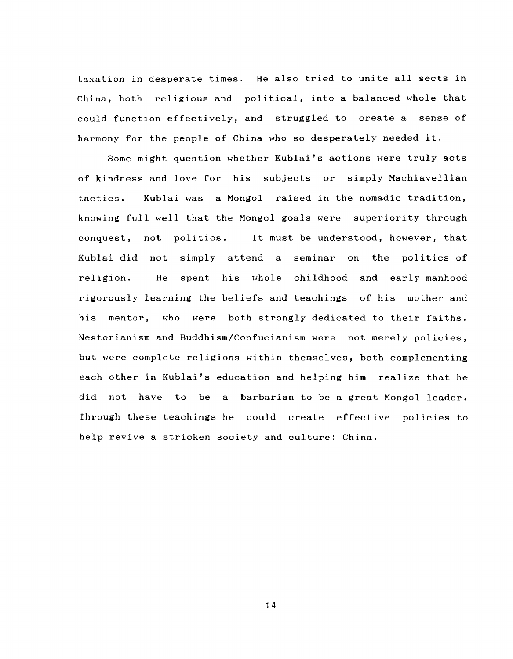taxation in desperate times. He also tried to unite all sects in China, both religious and political, into a balanced whole that could function effectively, and struggled to create a sense of harmony for the people of China who so desperately needed it.

Some might question whether Kublai's actions were truly acts of kindness and love for his subjects or simply Machiavellian tactics. Kublai was a Mongol raised in the nomadic tradition, knowing full well that the Mongol goals were superiority through conquest, not politics. It must be understood, however, that Kublai did not simply attend a seminar on the politics of religion. He spent his whole childhood and early manhood rigorously learning the beliefs and teachings of his mother and his mentor, who were both strongly dedicated to their faiths. Nestorianism and Buddhism/Confucianism were not merely policies, but were complete religions within themselves, both complementing each other in Kublai's education and helping him realize that he did not have to be a barbarian to be a great Mongol leader. Through these teachings he could create effective policies to help revive a stricken society and culture: China.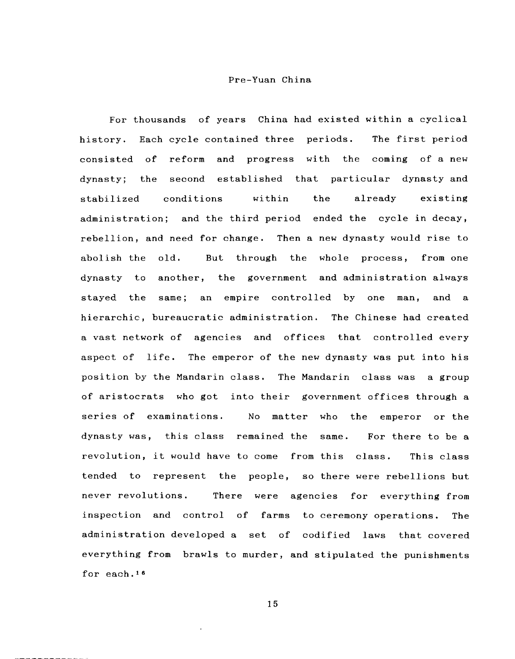# Pre-Yuan China

For thousands of years China had existed within a cyclical history. Each cycle contained three periods. The first period consisted of reform and progress with the coming of a new dynasty; the stabilized second established that particular dynasty and conditions within the already existing administration; and the third period ended the cycle in decay, rebellion, and need for change. Then a new dynasty would rise to abolish the old. But through the whole process, from one dynasty to another, the government and administration always stayed the same; an empire controlled by one man, and a hierarchic, bureaucratic administration. The Chinese had created a vast network of agencies and offices that controlled every aspect of life. The emperor of the new dynasty was put into his position by the Mandarin class. The Mandarin class was a group of aristocrats who got into their government offices through a series of examinations. No matter who the emperor or the dynasty was, this class remained the same. For there to be a revolution, it would have to come from this class. This class tended to represent the people, so there were rebellions but never revolutions. There were agencies for everything from inspection and control of farms to ceremony operations. The administration developed a set of codified laws that covered everything from brawls to murder, and stipulated the punishments for each.<sup>16</sup>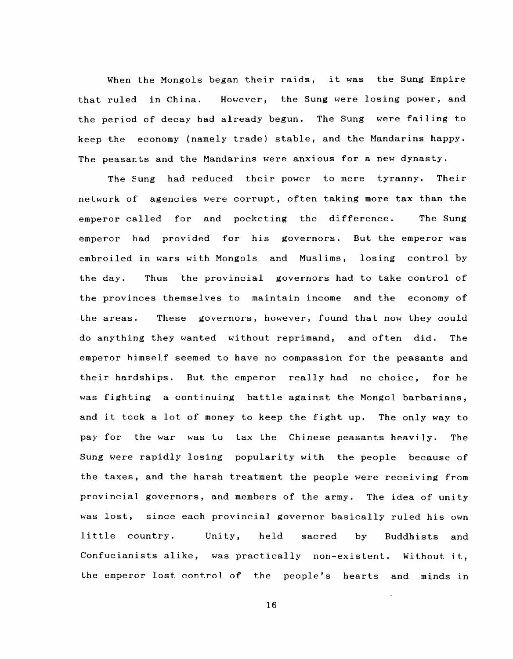When the Mongols began their raids, it was the Sung Empire that ruled in China. However, the Sung were losing power, and the period of decay had already begun. The Sung were failing to keep the economy (namely trade) stable, and the Mandarins happy. The peasants and the Mandarins were anxious for a new dynasty.

The Sung had reduced their power to mere tyranny. Their network of agencies were corrupt, often taking more tax than the emperor called for and pocketing the difference. The Sung emperor had provided for his governors. But the emperor was embroiled in wars with Mongols and Muslims, losing control by the day. Thus the provincial governors had to take control of the provinces themselves to maintain income and the economy of the areas. These governors, however, found that now they could do anything they wanted without reprimand, and often did. The emperor himself seemed to have no compassion for the peasants and their hardships. But the emperor really had no choice, for he was fighting a continuing battle against the Mongol barbarians, and it took a lot of money to keep the fight up. The only way to pay for the war was to tax the Chinese peasants heavily. The Sung were rapidly losing popularity with the people because of the taxes, and the harsh treatment the people were receiving from provincial governors, and members of the army. The idea of unity was lost, since each provincial governor basically ruled his own little country. Unity, held sacred by Buddhists and Confucianists alike, was practically non-existent. Without it, the emperor lost control of the people's hearts and minds in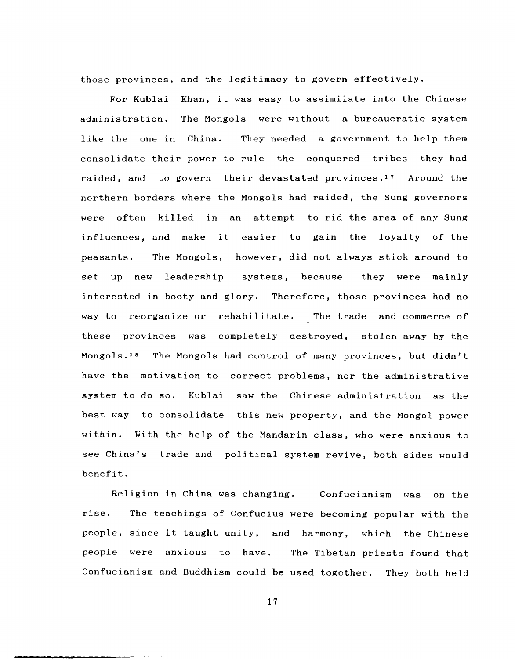those provinces, and the legitimacy to govern effectively.

For Kublai Khan, it was easy to assimilate into the Chinese administration. The Mongols were without a bureaucratic system like the one in China. They needed a government to help them consolidate their power to rule the conquered tribes they had raided, and to govern their devastated provinces. 17 Around the northern borders where the Mongols had raided, the Sung governors were often killed in an attempt to rid the area of any Sung influences, and make it easier to gain the loyalty of the peasants. The Mongols, however, did not always stick around to set up new leadership systems, because they were mainly interested in booty and glory. Therefore, those provinces had no way to reorganize or rehabilitate. The trade and commerce of these provinces was completely destroyed, stolen away by the Mongols.<sup>18</sup> The Mongols had control of many provinces, but didn't have the motivation to correct problems, nor the administrative system to do so. Kublai saw the Chinese administration as the best way to consolidate this new property, and the Mongol power within. With the help of the Mandarin class, who were anxious to see China's trade and political system revive, both sides would benefit.

Religion in China was changing. Confucianism was on the rise. people, since it taught unity, and harmony, which the Chinese people were anxious to have. The Tibetan priests found that The teachings of Confucius were becoming popular with the Confucianism and Buddhism could be used together. They both held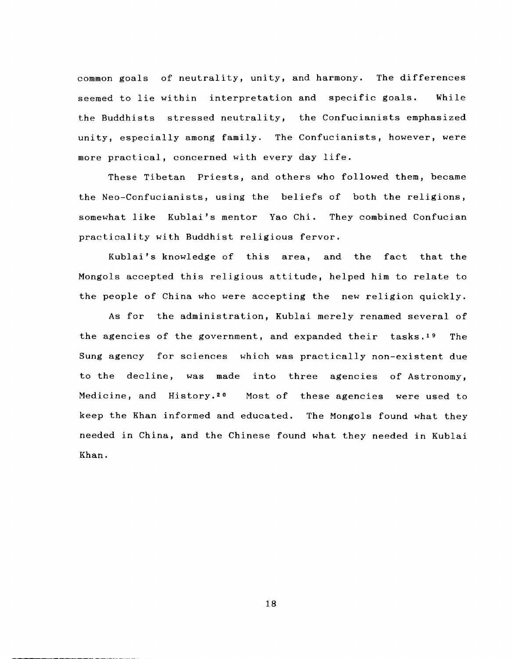common goals of neutrality, unity, and harmony. The differences seemed to lie within interpretation and specific goals. While the Buddhists stressed neutrality, the Confucianists emphasized unity, especially among family. The Confucianists, however, were more practical, concerned with every day life.

These Tibetan Priests, and others who followed them, became the Neo-Confucianists, using the beliefs of both the religions, somewhat like Kublai's mentor Yao Chi. They combined Confucian practicality with Buddhist religious fervor.

Kublai's knowledge of this area, and the fact that the Mongols accepted this religious attitude, helped him to relate to the people of China who were accepting the new religion quickly.

As for the administration, Kublai merely renamed several of the agencies of the government, and expanded their tasks. 19 The Sung agency for sciences which was practically non-existent due to the decline, was made into three agencies of Astronomy, Medicine, and History.2o Most of these agencies were used to keep the Khan informed and educated. The Mongols found what they needed in China, and the Chinese found what they needed in Kublai Khan.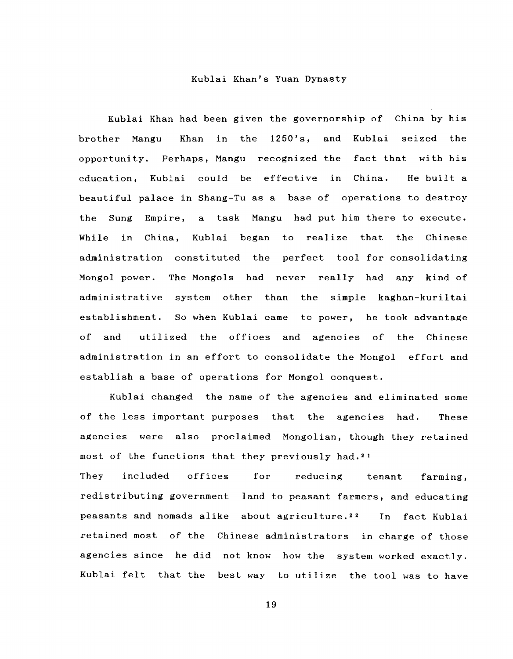### Kublai Khan's Yuan Dynasty

Kublai Khan had been given the governorship of China by his brother Mangu Khan in the  $1250$ 's, and Kublai seized the opportunity. Perhaps, Mangu recognized the fact that with his education, Kublai could be effective in China. He built a beautiful palace in Shang-Tu as a base of operations to destroy the Sung Empire, a task Mangu had put him there to execute. While in China, Kublai began to realize that the Chinese administration constituted the perfect tool for consolidating Mongol power. The Mongols had never really had any kind of administrative system other than the simple kaghan-kuriltai establishment. So when Kublai came to power, he took advantage of and utilized the offices and agencies of the Chinese administration in an effort to consolidate the Mongol effort and establish a base of operations for Mongol conquest.

Kublai changed the name of the agencies and eliminated some of the less important purposes that the agencies had. These agencies were also proclaimed Mongolian, though they retained most of the functions that they previously had. <sup>21</sup> They included offices for reducing tenant farming, redistributing government land to peasant farmers, and educating peasants and nomads alike about agriculture. 22 In fact Kublai

retained most of the Chinese administrators in charge of those agencies since he did not know how the system worked exactly. Kublai felt that the best way to utilize the tool was to have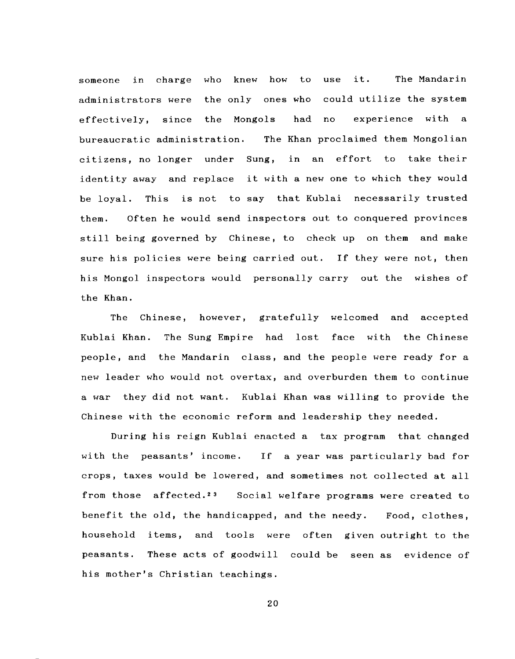someone in charge who knew how to use it. The Mandarin administrators were the only ones who could utilize the system effectively, since the Mongols had no experience with a bureaucratic administration. The Khan proclaimed them Mongolian citizens, no longer under Sung, in an effort to take their identity away and replace it with a new one to which they would be loyal. This is not to say that Kublai necessarily trusted them. Often he would send inspectors out to conquered provinces still being governed by Chinese, to check up on them and make sure his policies were being carried out. If they were not, then his Mongol inspectors would personally carry out the wishes of the Khan.

The Chinese, however, gratefully welcomed and accepted Kublai Khan. The Sung Empire had lost face with the Chinese people, and the Mandarin class, and the people were ready for a new leader who would not overtax, and overburden them to continue a war they did not want. Kublai Khan was willing to provide the Chinese with the economic reform and leadership they needed.

During his reign Kublai enacted a tax program that changed with the peasants' income. If a year was particularly bad for crops, taxes would be lowered, and sometimes not collected at all from those affected.<sup>23</sup> Social welfare programs were created to benefit the old, the handicapped, and the needy. Food, clothes, household items, and tools were often given outright to the peasants. These acts of goodwill could be seen as evidence of his mother's Christian teachings.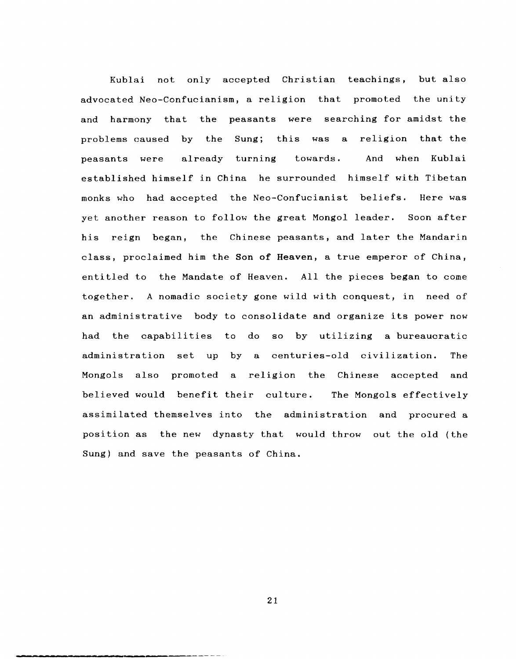Kublai not only accepted Christian teachings, but also advocated Neo-Confucianism, a religion that promoted the unity and harmony that the peasants were searching for amidst the problems caused by the Sung; this was a religion that the peasants were already turning towards. And when Kublai established himself in China he surrounded himself with Tibetan monks who had accepted the Neo-Confucianist beliefs. Here was yet another reason to follow the great Mongol leader. Soon after his reign began, the Chinese peasants, and later the Mandarin class, proclaimed him the Son of Heaven, a true emperor of China, entitled to the Mandate of Heaven. All the pieces began to come together. A nomadic society gone wild with conquest, in need of an administrative body to consolidate and organize its power now had the capabilities to do so by utilizing a bureaucratic administration set up by a centuries-old civilization. The Mongols also promoted a religion the Chinese accepted and believed would benefit their culture. The Mongols effectively assimilated themselves into the administration and procured a position as the new dynasty that would throw out the old (the Sung) and save the peasants of China.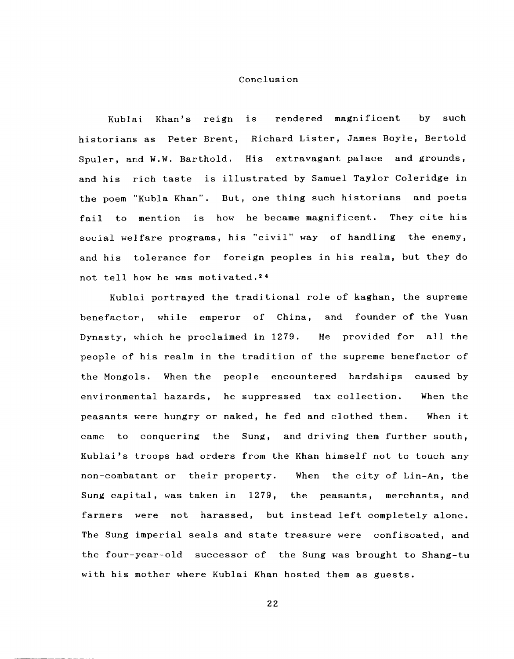## Conclusion

Kublai Khan's reign is rendered magnificent by such historians as Peter Brent, Richard Lister, James Boyle, Bertold Spuler, and W.W. Barthold. His extravagant palace and grounds, and his rich taste is illustrated by Samuel Taylor Coleridge in the poem "Kubla Khan". But, one thing such historians and poets fail to mention is how he became magnificent. They cite his social welfare programs, his "civil" way of handling the enemy, and his tolerance for foreign peoples in his realm, but they do not tell how he was motivated. <sup>24</sup>

Kublai portrayed the traditional role of kaghan, the supreme benefactor, while emperor of China, and founder of the Yuan Dynasty, which he proclaimed in 1279. He provided for all the people of his realm in the tradition of the supreme benefactor of the Mongols. When the people encountered hardships caused by environmental hazards, he suppressed tax collection. When the peasants were hungry or naked, he fed and clothed them. When it came to conquering the Sung, and driving them further south, Kublai's troops had orders from the Khan himself not to touch any non-combatant or their property. When the city of Lin-An, the Sung capital, was taken in 1279, the peasants, merchants, and farmers were not harassed, but instead left completely alone. The Sung imperial seals and state treasure were confiscated, and the four-year-old successor of the Sung was brought to Shang-tu with his mother where Kublai Khan hosted them as guests.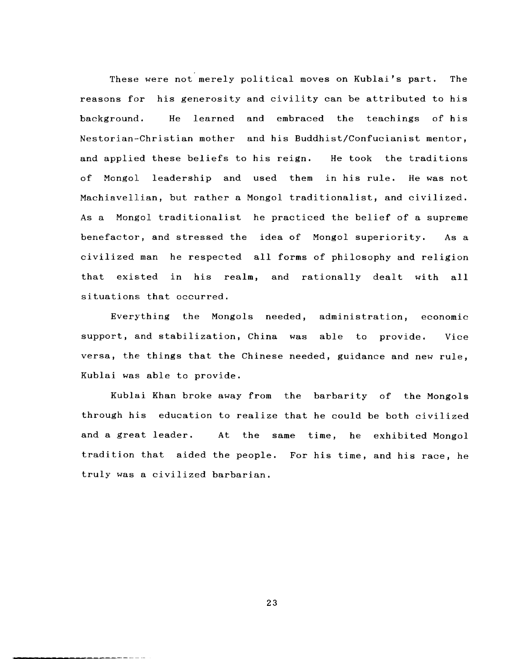These were not merely political moves on Kublai's part. The reasons for his generosity and civility can be attributed to his background. He learned and embraced the teachings of his Nestorian--Christian mother and his Buddhist/Confucianist mentor, and applied these beliefs to his reign. He took the traditions of Mongol leadership and used them in his rule. He was not Machiavellian, but rather a Mongol traditionalist, and civilized. As a Mongol traditionalist he practiced the belief of a supreme benefactor, and stressed the idea of Mongol superiority. As a civilized man he respected all forms of philosophy and religion that existed in his realm, and rationally dealt with all situations that occurred.

Everything the Mongols needed, administration, economic support, and stabilization, China was able to provide. Vice versa, the things that the Chinese needed, guidance and new rule, Kublai was able to provide.

Kublai Khan broke away from the barbarity of the Mongols through his education to realize that he could be both civilized and a great leader. At the same time, he exhibited Mongol tradition that aided the people. For his time, and his race, he truly was a civilized barbarian.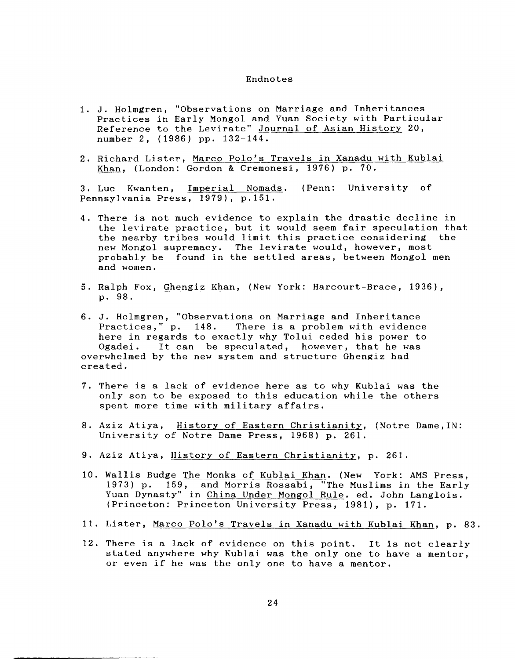### Endnotes

- 1. J. Holmgren, "Observations on Marriage and Inheritances Practices in Early Mongol and Yuan Society with Particular Reference to the Levirate" Journal of Asian History 20, number 2, (1986) pp. 132-144.
- 2. Richard Lister, Marco Polo's Travels in Xanadu with Kublai Khan, (London: Gordon & Cremonesi, 1976) p. 70.

3. Luc Kwanten, Imperial Nomads. (Penn: University of Pennsylvania Press, 1979), p.151.

- 4. There is not much evidence to explain the drastic decline in the levirate practice, but it would seem fair speculation that the nearby tribes would limit this practice considering the new Mongol supremacy. The levirate would, however, most probably be found in the settled areas, between Mongol men and women.
- 5. Ralph Fox, Ghengiz Khan, (New York: Harcourt-Brace, 1936), p. 98.

6. J. Holmgren, "Observations on Marriage and Inheritance There is a problem with evidence here in regards to exactly why Tolui ceded his power to Ogadei. It can be speculated, however, that he was overwhelmed by the new system and structure Ghengiz had created.

- 7. There is a lack of evidence here as to why Kublai was the only son to be exposed to this education while the others spent more time with military affairs.
- 8. Aziz Atiya, History of Eastern Christianity, (Notre Dame, IN: University of Notre Dame Press, 1968) p. 261.
- 9. Aziz Atiya, History of Eastern Christianity, p. 261.
- 10. Wallis Budge The Monks of Kublai Khan. (New York: AMS Press, 1973) p. 159, and Morris Rossabi, "The Muslims in the Early Yuan Dynasty" in China Under Mongol Rule. ed. John Langlois. (Princeton: Princeton University Press, 1981), p. 171.
- 11. Lister, Marco Polo's Travels in Xanadu with Kublai Khan, p. 83.
- 12. There is a lack of evidence on this point. It is not clearly stated anywhere why Kublai was the only one to have a mentor, or even if he was the only one to have a mentor.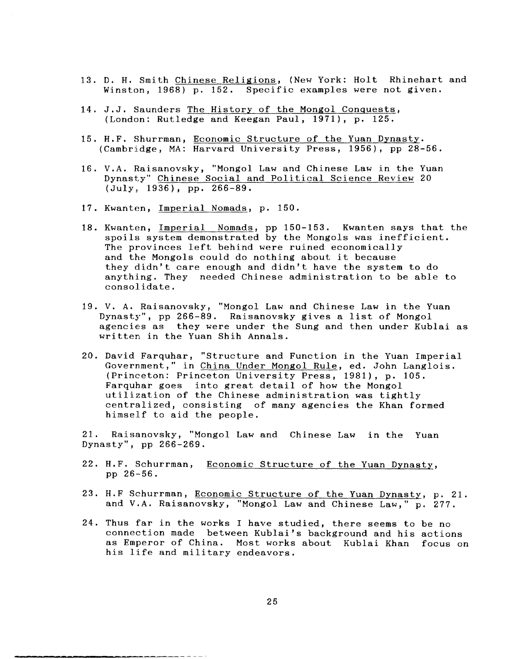- 13. D. H. Smith Chinese Religions, (New York: Holt Rhinehart and Winston, 1968) p. 152. Specific examples were not given.
- 14. J.J. Saunders The History of the Mongol Conquests, (London: Rutledge and Keegan Paul, 1971), p. 125.
- 15. H.F. Shurrman, Economic Structure of the Yuan Dynasty. (Cambridge, MA: Harvard University Press, 1956), pp 28-56.
- 16. V.A. Haisanovsky, "Mongol Law and Chinese Law in the Yuan Dynasty" Chinese Social and Political Science Review 20 (July~ 1936), pp. 266-89.
- 17. Kwanten, Imperial Nomads, p. 150.
- 18. Kwanten, Imperial Nomads, pp 150-153. Kwanten says that the spoils system demonstrated by the Mongols was inefficient. The provinces left behind were ruined economically and the Mongols could do nothing about it because they didn't care enough and didn't have the system to do anything. They needed Chinese administration to be able to consolidate.
- 19. V. A. Raisanovsky, "Mongol Law and Chinese Law in the Yuan v. A. Kaisanovský, "nongol Law and Chinese Law in the response of the response of  $\alpha$ agencies as they were under the Sung and then under Kublai as written in the Yuan Shih Annals.
- 20. David Farquhar, "Structure and Function in the Yuan Imperial Government," in China Under Mongol Rule, ed. John Langlois. (Princeton: Princeton University Press, 1981), p. 105. Farquhar goes into great detail of how the Mongol utilization of the Chinese administration was tightly centralized, consisting of many agencies the Khan formed himself to aid the people.

21. Raisanovsky, "Mongol Law and Chinese Law in the Yuan Dynasty", pp 266-269.

- 22. H.F. Schurrman, Economic Structure of the Yuan Dynasty, pp 26-56.
- 23. H.F Schurrman, Economic Structure of the Yuan Dynasty, p. 21. and V.A. Raisanovsky, "Mongol Law and Chinese Law," p. 277.
- 24. Thus far in the works I have studied, there seems to be no connection made between Kublai's background and his actions as Emperor of China. Most works about Kublai Khan focus on his life and military endeavors.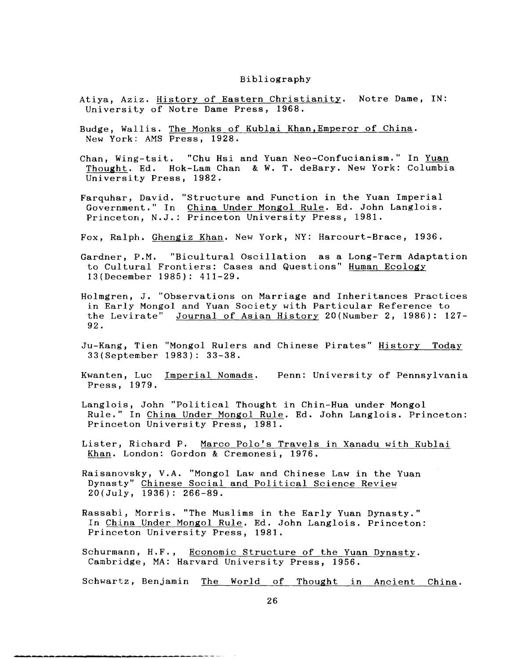#### Bibliography

- Atiya, Aziz. History of Eastern Christianity. Notre Dame, IN: University of Notre Dame Press, 1968.
- Budge, Wallis. The Monks of Kublai Khan,Emperor of China. New York: AMS Press, 1928.
- Chan, Wing-tsit. "Chu Hsi and Yuan Neo-Confucianism." In Yuan Thought. Ed. Hok-Lam Chan & W. T. deBary. New York: Columbia University Press, 1982.
- Farquhar, David. "Structure and Function in the Yuan Imperial Government." In China Under Mongol Rule. Ed. John Langlois. Princeton, N.J.: Princeton University Press, 1981.
- Fox, Ralph. Ghengiz Khan. New York, NY: Harcourt-Brace, 1936.

Gardner, P.M. "Bicultural Oscillation as a Long-Term Adaptation to Cultural Frontiers: Cases and Questions" Human Ecology 13(December 1985): 411-29.

- Holmgren, J. "Observations on Marriage and Inheritances Practices in Early Mongol and Yuan Society with Particular Reference to the Levirate" Journal of Asian History 20(Number 2, 1986): 127- 92.
- Ju-Kang, Tien "Mongol Rulers and Chinese Pirates" History Today 33(September 1983): 33-38.
- Kwanten, Luc Imperial Nomads. Penn: University of Pennsylvania Press, 1979.
- Langlois, John "Political Thought in Chin-Hua under Mongol Rule." In China Under Mongol Rule. Ed. John Langlois. Princeton: Princeton University Press, 1981.
- Lister, Richard P. Marco Polo's Travels in Xanadu with Kublai Khan. London: Gordon & Cremonesi, 1976.
- Raisanovsky, V.A. "Mongol Law and Chinese Law in the Yuan Dynasty" Chinese Social and Political Science Review 20(July, 1936): 266-89.
- Rassabi, Morris. "The Muslims in the Early Yuan Dynasty." In China Under Mongol Rule. Ed. John Langlois. Princeton: Princeton University Press, 1981.
- Schurmann, H.F., Economic Structure of the Yuan Dynasty. Cambridge, MA: Harvard University Press, 1956.
- Schwartz, Benjamin The World of Thought in Ancient China.